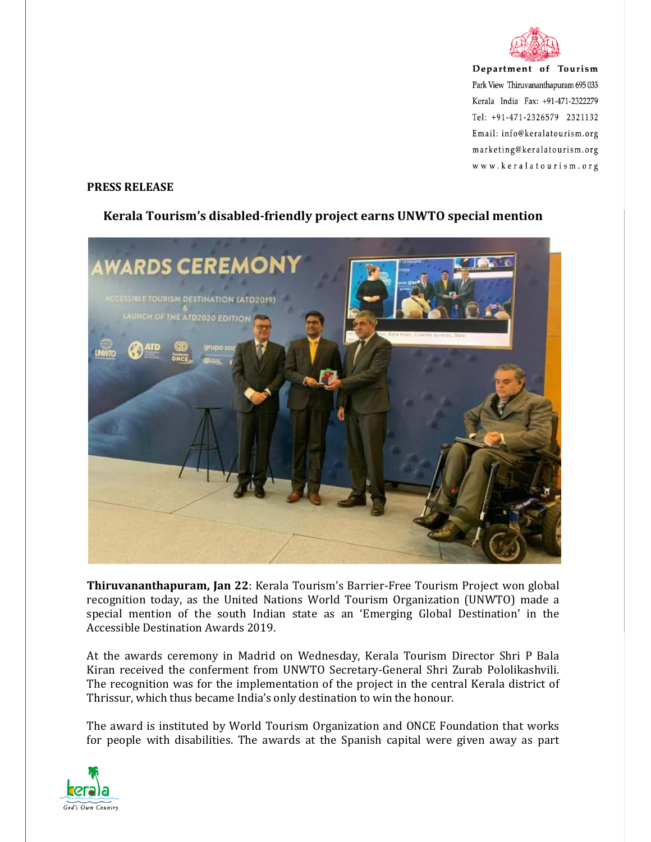

Department of Tourism Park View Thiruvananthapuram 695 033 Kerala India Fax: +91-471-2322279  $Tel: +91-471-2326579$  2321132 Email: info@keralatourism.org marketing@keralatourism.org www.keralatourism.org

## **PRESS RELEASE**



## **Kerala Tourism's disabled-friendly project earns UNWTO special mention**

**Thiruvananthapuram, Jan 22**: Kerala Tourism's Barrier-Free Tourism Project won global recognition today, as the United Nations World Tourism Organization (UNWTO) made a special mention of the south Indian state as an 'Emerging Global Destination' in the Accessible Destination Awards 2019.

At the awards ceremony in Madrid on Wednesday, Kerala Tourism Director Shri P Bala Kiran received the conferment from UNWTO Secretary-General Shri Zurab Pololikashvili. The recognition was for the implementation of the project in the central Kerala district of Thrissur, which thus became India's only destination to win the honour.

The award is instituted by World Tourism Organization and ONCE Foundation that works for people with disabilities. The awards at the Spanish capital were given away as part

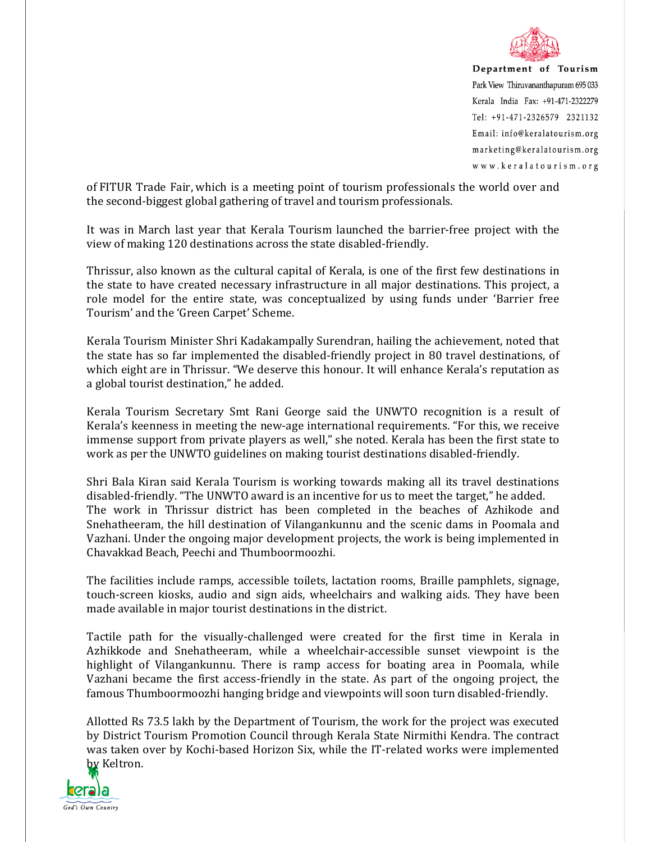

Department of Tourism Park View Thiruvananthapuram 695 033 Kerala India Fax: +91-471-2322279  $Tel: +91-471-2326579$  2321132 Email: info@keralatourism.org marketing@keralatourism.org www.keralatourism.org

of FITUR Trade Fair, which is a meeting point of tourism professionals the world over and the second-biggest global gathering of travel and tourism professionals.

It was in March last year that Kerala Tourism launched the barrier-free project with the view of making 120 destinations across the state disabled-friendly.

Thrissur, also known as the cultural capital of Kerala, is one of the first few destinations in the state to have created necessary infrastructure in all major destinations. This project, a role model for the entire state, was conceptualized by using funds under 'Barrier free Tourism' and the 'Green Carpet' Scheme.

Kerala Tourism Minister Shri Kadakampally Surendran, hailing the achievement, noted that the state has so far implemented the disabled-friendly project in 80 travel destinations, of which eight are in Thrissur. "We deserve this honour. It will enhance Kerala's reputation as a global tourist destination," he added.

Kerala Tourism Secretary Smt Rani George said the UNWTO recognition is a result of Kerala's keenness in meeting the new-age international requirements. "For this, we receive immense support from private players as well," she noted. Kerala has been the first state to work as per the UNWTO guidelines on making tourist destinations disabled-friendly.

Shri Bala Kiran said Kerala Tourism is working towards making all its travel destinations disabled-friendly. "The UNWTO award is an incentive for us to meet the target," he added. The work in Thrissur district has been completed in the beaches of Azhikode and Snehatheeram, the hill destination of Vilangankunnu and the scenic dams in Poomala and Vazhani. Under the ongoing major development projects, the work is being implemented in Chavakkad Beach, Peechi and Thumboormoozhi.

The facilities include ramps, accessible toilets, lactation rooms, Braille pamphlets, signage, touch-screen kiosks, audio and sign aids, wheelchairs and walking aids. They have been made available in major tourist destinations in the district.

Tactile path for the visually-challenged were created for the first time in Kerala in Azhikkode and Snehatheeram, while a wheelchair-accessible sunset viewpoint is the highlight of Vilangankunnu. There is ramp access for boating area in Poomala, while Vazhani became the first access-friendly in the state. As part of the ongoing project, the famous Thumboormoozhi hanging bridge and viewpoints will soon turn disabled-friendly.

Allotted Rs 73.5 lakh by the Department of Tourism, the work for the project was executed by District Tourism Promotion Council through Kerala State Nirmithi Kendra. The contract was taken over by Kochi-based Horizon Six, while the IT-related works were implemented by Keltron.